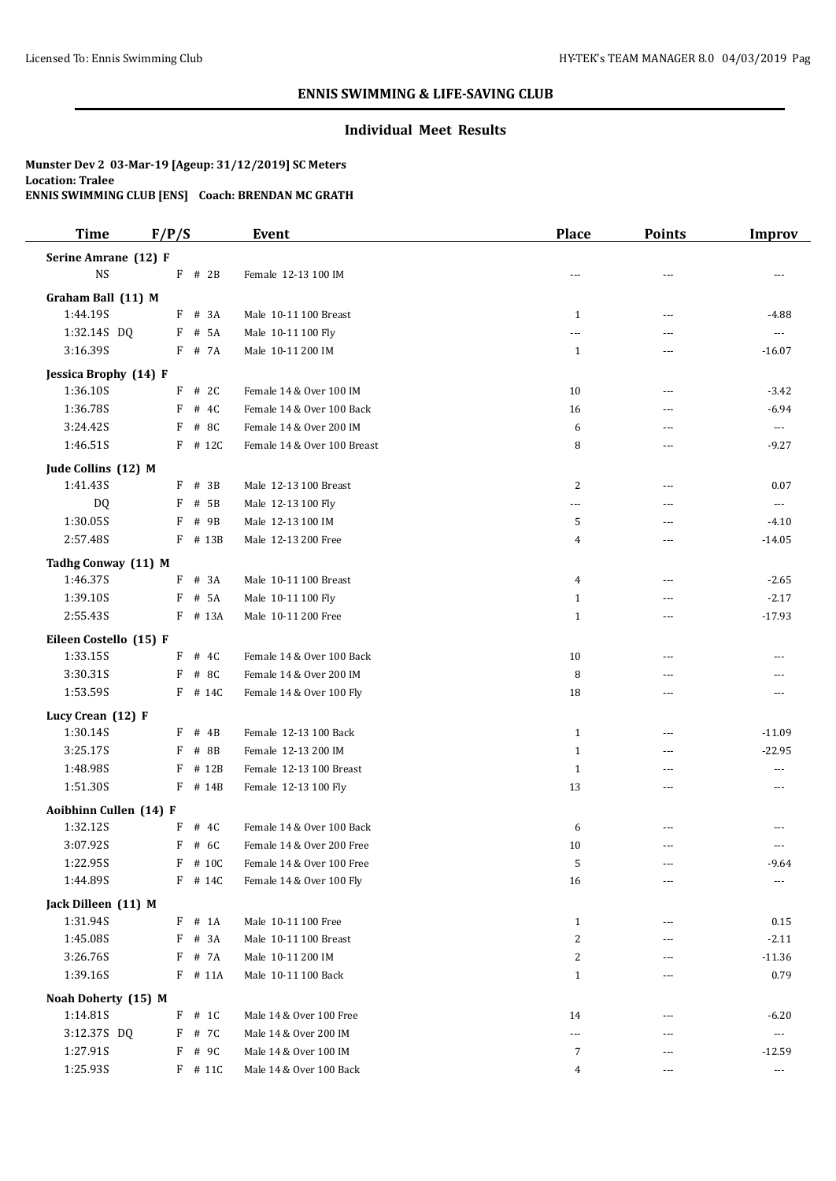### **Individual Meet Results**

| <b>Time</b>                    | F/P/S     | <b>Event</b>                | Place        | <b>Points</b>  | <b>Improv</b>        |
|--------------------------------|-----------|-----------------------------|--------------|----------------|----------------------|
| Serine Amrane (12) F           |           |                             |              |                |                      |
| $_{\rm NS}$                    | $F$ # 2B  | Female 12-13 100 IM         | $---$        | ---            |                      |
|                                |           |                             |              |                |                      |
| Graham Ball (11) M<br>1:44.19S | F # 3A    | Male 10-11 100 Breast       | $\mathbf{1}$ | ---            | $-4.88$              |
| 1:32.14S DQ                    | $F$ # 5A  | Male 10-11 100 Fly          | ---          |                | ---                  |
| 3:16.39S                       | F # 7A    | Male 10-11 200 IM           | $\mathbf{1}$ | ---            | $-16.07$             |
|                                |           |                             |              |                |                      |
| Jessica Brophy (14) F          |           |                             |              |                |                      |
| 1:36.10S                       | $F$ # 2C  | Female 14 & Over 100 IM     | 10           | ---            | $-3.42$              |
| 1:36.78S                       | F # 4C    | Female 14 & Over 100 Back   | 16           | ---            | $-6.94$              |
| 3:24.42S                       | # 8C<br>F | Female 14 & Over 200 IM     | 6            | ---            | ---                  |
| 1:46.51S                       | F # 12C   | Female 14 & Over 100 Breast | 8            | ---            | $-9.27$              |
| Jude Collins (12) M            |           |                             |              |                |                      |
| 1:41.43S                       | $F$ # 3B  | Male 12-13 100 Breast       | 2            | ---            | 0.07                 |
| <b>DQ</b>                      | # 5B<br>F | Male 12-13 100 Fly          | ---          | $\overline{a}$ | $\overline{a}$       |
| 1:30.05S                       | F<br># 9B | Male 12-13 100 IM           | 5            | ---            | $-4.10$              |
| 2:57.48S                       | F # 13B   | Male 12-13 200 Free         | 4            | ---            | $-14.05$             |
| Tadhg Conway (11) M            |           |                             |              |                |                      |
| 1:46.37S                       | F # 3A    | Male 10-11 100 Breast       | 4            | ---            | $-2.65$              |
| 1:39.10S                       | F # 5A    | Male 10-11 100 Fly          | $\mathbf{1}$ | $\overline{a}$ | $-2.17$              |
| 2:55.43S                       | F # 13A   | Male 10-11 200 Free         | $\mathbf{1}$ | ---            | $-17.93$             |
|                                |           |                             |              |                |                      |
| Eileen Costello (15) F         |           |                             |              |                |                      |
| 1:33.15S                       | $F$ # 4C  | Female 14 & Over 100 Back   | 10           | ---            |                      |
| 3:30.31S                       | F # 8C    | Female 14 & Over 200 IM     | 8            | ---            |                      |
| 1:53.59S                       | $F$ # 14C | Female 14 & Over 100 Fly    | 18           | ---            | ---                  |
| Lucy Crean (12) F              |           |                             |              |                |                      |
| 1:30.14S                       | $F$ # 4B  | Female 12-13 100 Back       | $\mathbf{1}$ | ---            | $-11.09$             |
| 3:25.17S                       | F # 8B    | Female 12-13 200 IM         | $\mathbf{1}$ | ---            | $-22.95$             |
| 1:48.98S                       | F # 12B   | Female 12-13 100 Breast     | $\mathbf{1}$ | ---            | ---                  |
| 1:51.30S                       | F # 14B   | Female 12-13 100 Fly        | 13           | ---            | $---$                |
| Aoibhinn Cullen (14) F         |           |                             |              |                |                      |
| 1:32.12S                       | F<br># 4C | Female 14 & Over 100 Back   | 6            |                |                      |
| 3:07.92S                       | F<br># 6C | Female 14 & Over 200 Free   | 10           | $\overline{a}$ | ---                  |
| 1:22.95S                       | F # 10C   | Female 14 & Over 100 Free   | 5            |                | $-9.64$              |
| 1:44.89S                       | F # 14C   | Female 14 & Over 100 Fly    | $16\,$       | ---            |                      |
|                                |           |                             |              |                |                      |
| Jack Dilleen (11) M            |           |                             |              |                |                      |
| 1:31.94S                       | $F$ # 1A  | Male 10-11 100 Free         | $\mathbf{1}$ | ---            | 0.15                 |
| 1:45.08S                       | F # 3A    | Male 10-11 100 Breast       | 2            | ---            | $-2.11$              |
| 3:26.76S                       | F<br># 7A | Male 10-11 200 IM           | 2            | ---            | $-11.36$             |
| 1:39.16S                       | $F$ # 11A | Male 10-11 100 Back         | $\mathbf{1}$ | ---            | 0.79                 |
| Noah Doherty (15) M            |           |                             |              |                |                      |
| 1:14.81S                       | $F$ # 1C  | Male 14 & Over 100 Free     | 14           | ---            | $-6.20$              |
| 3:12.37S DQ                    | F # 7C    | Male 14 & Over 200 IM       | ---          | ---            | ---                  |
| 1:27.91S                       | # 9C<br>F | Male 14 & Over 100 IM       | 7            | ---            | -12.59               |
| 1:25.93S                       | $F$ # 11C | Male 14 & Over 100 Back     | 4            | ---            | $\scriptstyle\cdots$ |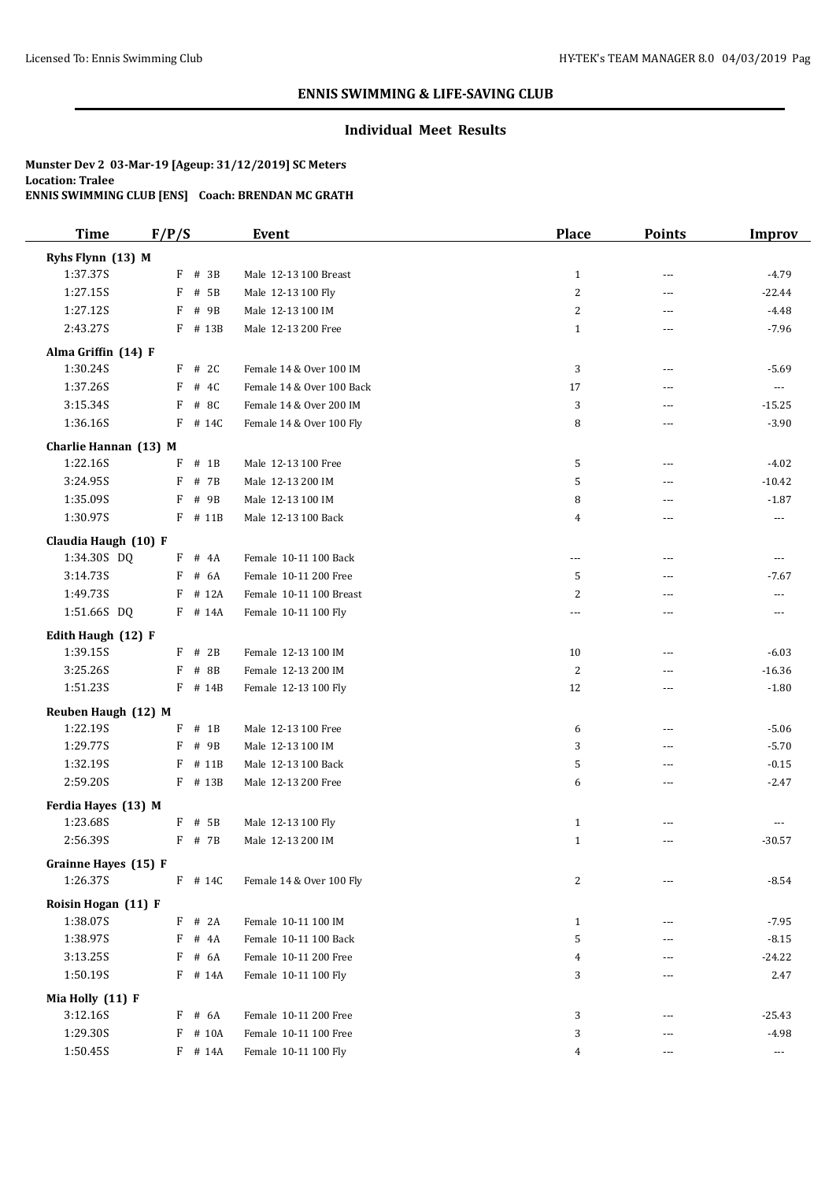### **Individual Meet Results**

| <b>Time</b>           | F/P/S       | Event                     | <b>Place</b>             | <b>Points</b>  | <b>Improv</b>  |
|-----------------------|-------------|---------------------------|--------------------------|----------------|----------------|
| Ryhs Flynn (13) M     |             |                           |                          |                |                |
| 1:37.37S              | $F$ # 3B    | Male 12-13 100 Breast     | $\mathbf{1}$             | ---            | $-4.79$        |
| 1:27.15S              | F # 5B      | Male 12-13 100 Fly        | $\overline{c}$           | $\overline{a}$ | $-22.44$       |
| 1:27.12S              | F<br># 9B   | Male 12-13 100 IM         | $\overline{c}$           | ---            | $-4.48$        |
| 2:43.27S              | F # 13B     | Male 12-13 200 Free       | $\mathbf{1}$             | ---            | $-7.96$        |
| Alma Griffin (14) F   |             |                           |                          |                |                |
| 1:30.24S              | $F$ # 2C    | Female 14 & Over 100 IM   | 3                        | ---            | $-5.69$        |
| 1:37.26S              | # $4C$<br>F | Female 14 & Over 100 Back | 17                       | ---            | $---$          |
| 3:15.34S              | F # 8C      | Female 14 & Over 200 IM   | 3                        | $---$          | $-15.25$       |
| 1:36.16S              | F # 14C     | Female 14 & Over 100 Fly  | 8                        | $---$          | $-3.90$        |
| Charlie Hannan (13) M |             |                           |                          |                |                |
| 1:22.16S              | F<br>$#$ 1B | Male 12-13 100 Free       | 5                        | ---            | $-4.02$        |
| 3:24.95S              | F<br># 7B   | Male 12-13 200 IM         | 5                        | ---            | $-10.42$       |
| 1:35.09S              | F<br># 9B   | Male 12-13 100 IM         | 8                        | ---            | $-1.87$        |
| 1:30.97S              | F # 11B     | Male 12-13 100 Back       | 4                        | ---            | ---            |
| Claudia Haugh (10) F  |             |                           |                          |                |                |
| 1:34.30S DQ           | $F$ # $4A$  | Female 10-11 100 Back     | $\overline{\phantom{a}}$ | $---$          | $---$          |
| 3:14.73S              | $F$ # 6A    | Female 10-11 200 Free     | 5                        | ---            | $-7.67$        |
| 1:49.73S              | $F$ # 12A   | Female 10-11 100 Breast   | 2                        | $---$          | $\overline{a}$ |
| 1:51.66S DQ           | F # 14A     | Female 10-11 100 Fly      | ---                      | ---            | ---            |
| Edith Haugh (12) F    |             |                           |                          |                |                |
| 1:39.15S              | $F$ # 2B    | Female 12-13 100 IM       | 10                       | ---            | $-6.03$        |
| 3:25.26S              | F # 8B      | Female 12-13 200 IM       | 2                        | ---            | $-16.36$       |
| 1:51.23S              | F # 14B     | Female 12-13 100 Fly      | 12                       | ---            | $-1.80$        |
| Reuben Haugh (12) M   |             |                           |                          |                |                |
| 1:22.19S              | $F$ # 1B    | Male 12-13 100 Free       | 6                        | $\overline{a}$ | $-5.06$        |
| 1:29.77S              | F # 9B      | Male 12-13 100 IM         | 3                        | $---$          | $-5.70$        |
| 1:32.19S              | F<br># 11B  | Male 12-13 100 Back       | 5                        | $---$          | $-0.15$        |
| 2:59.20S              | F # 13B     | Male 12-13 200 Free       | 6                        | ---            | $-2.47$        |
| Ferdia Hayes (13) M   |             |                           |                          |                |                |
| 1:23.68S              | F # 5B      | Male 12-13 100 Fly        | $\mathbf{1}$             | ---            | $---$          |
| 2:56.39S              | F # 7B      | Male 12-13 200 IM         | $\mathbf{1}$             | ---            | $-30.57$       |
| Grainne Hayes (15) F  |             |                           |                          |                |                |
| 1:26.37S              | F # 14C     | Female 14 & Over 100 Fly  | 2                        |                | $-8.54$        |
| Roisin Hogan (11) F   |             |                           |                          |                |                |
| 1:38.07S              | $F$ # 2A    | Female 10-11 100 IM       | $\mathbf{1}$             | ---            | $-7.95$        |
| 1:38.97S              | F # 4A      | Female 10-11 100 Back     | 5                        | ---            | $-8.15$        |
| 3:13.25S              | F # 6A      | Female 10-11 200 Free     | 4                        | ---            | $-24.22$       |
| 1:50.19S              | F # 14A     | Female 10-11 100 Fly      | 3                        | $\cdots$       | 2.47           |
| Mia Holly (11) F      |             |                           |                          |                |                |
| 3:12.16S              | F # 6A      | Female 10-11 200 Free     | 3                        | ---            | $-25.43$       |
| 1:29.30S              | F # 10A     | Female 10-11 100 Free     | 3                        | $---$          | $-4.98$        |
| 1:50.45S              | F # 14A     | Female 10-11 100 Fly      | 4                        | ---            | $\cdots$       |
|                       |             |                           |                          |                |                |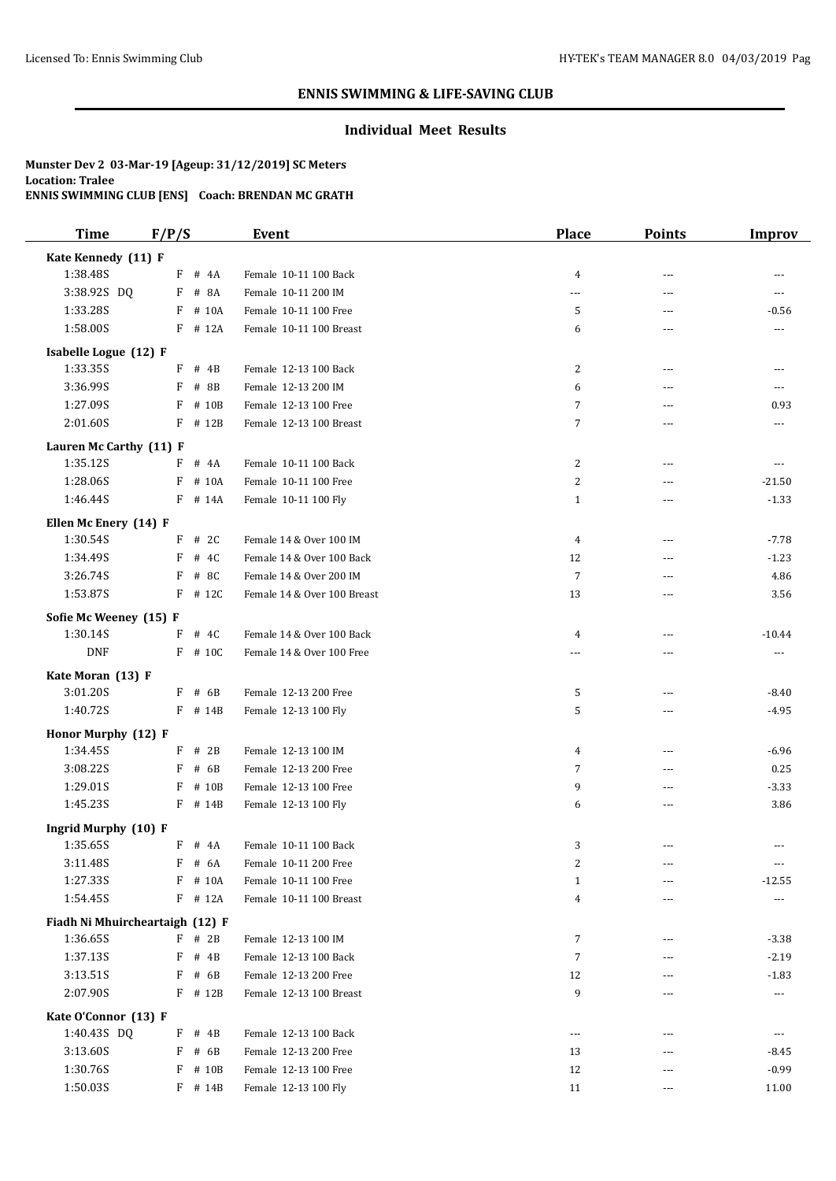### **Individual Meet Results**

| <b>Time</b>                 | F/P/S                           | <b>Event</b>                | <b>Place</b>   | <b>Points</b>  | <b>Improv</b>  |
|-----------------------------|---------------------------------|-----------------------------|----------------|----------------|----------------|
| Kate Kennedy (11) F         |                                 |                             |                |                |                |
| 1:38.48S                    | $F$ # 4A                        | Female 10-11 100 Back       | 4              | $---$          |                |
| 3:38.92S DQ                 | F # 8A                          | Female 10-11 200 IM         | ---            | $\overline{a}$ |                |
| 1:33.28S                    | F # 10A                         | Female 10-11 100 Free       | 5              | ---            | $-0.56$        |
| 1:58.00S                    | $F$ # 12A                       | Female 10-11 100 Breast     | 6              | $---$          | $---$          |
| Isabelle Logue (12) F       |                                 |                             |                |                |                |
| 1:33.35S                    | $F$ # 4B                        | Female 12-13 100 Back       | 2              | $\overline{a}$ | ---            |
| 3:36.99S                    | F # 8B                          | Female 12-13 200 IM         | 6              | ---            | ---            |
| 1:27.09S                    | F # 10B                         | Female 12-13 100 Free       | 7              | ---            | 0.93           |
| 2:01.60S                    | $F$ # 12B                       | Female 12-13 100 Breast     | 7              | ---            | ---            |
| Lauren Mc Carthy (11) F     |                                 |                             |                |                |                |
| 1:35.12S                    | F # 4A                          | Female 10-11 100 Back       | 2              | ---            | $---$          |
| 1:28.06S                    | F # 10A                         | Female 10-11 100 Free       | 2              | ---            | $-21.50$       |
| 1:46.44S                    | F # 14A                         | Female 10-11 100 Fly        | $\mathbf{1}$   | $\overline{a}$ | $-1.33$        |
| Ellen Mc Enery (14) F       |                                 |                             |                |                |                |
| 1:30.54S                    | $F$ # 2C                        | Female 14 & Over 100 IM     | 4              | $---$          | $-7.78$        |
| 1:34.49S                    | F<br># 4C                       | Female 14 & Over 100 Back   | 12             | $\overline{a}$ | $-1.23$        |
| 3:26.74S                    | F # 8C                          | Female 14 & Over 200 IM     | $\overline{7}$ | ---            | 4.86           |
| 1:53.87S                    | $F$ # 12C                       | Female 14 & Over 100 Breast | 13             | ---            | 3.56           |
| Sofie Mc Weeney (15) F      |                                 |                             |                |                |                |
| 1:30.14S                    | $F$ # 4C                        | Female 14 & Over 100 Back   | 4              | ---            | $-10.44$       |
| <b>DNF</b>                  | $F$ # 10C                       | Female 14 & Over 100 Free   |                | ---            | $---$          |
|                             |                                 |                             |                |                |                |
| Kate Moran (13) F           |                                 |                             |                |                |                |
| 3:01.20S                    | $F$ # 6B                        | Female 12-13 200 Free       | 5              | ---            | $-8.40$        |
| 1:40.72S                    | F # 14B                         | Female 12-13 100 Fly        | 5              | $\overline{a}$ | $-4.95$        |
| Honor Murphy (12) F         |                                 |                             |                |                |                |
| 1:34.45S                    | $F$ # 2B                        | Female 12-13 100 IM         | 4              | ---            | $-6.96$        |
| 3:08.22S                    | F<br># 6B                       | Female 12-13 200 Free       | 7              | ---            | 0.25           |
| 1:29.01S                    | $F$ # 10B                       | Female 12-13 100 Free       | 9              | ---            | $-3.33$        |
| 1:45.23S                    | F # 14B                         | Female 12-13 100 Fly        | 6              | $\overline{a}$ | 3.86           |
| <b>Ingrid Murphy (10) F</b> |                                 |                             |                |                |                |
| 1:35.65S                    | $F$ # 4A                        | Female 10-11 100 Back       | 3              | $---$          | $---$          |
| 3:11.48S                    | F # 6A                          | Female 10-11 200 Free       | 2              | ---            | $---$          |
| 1:27.33S                    | F # 10A                         | Female 10-11 100 Free       | 1              |                | $-12.55$       |
| 1:54.45S                    | F # 12A                         | Female 10-11 100 Breast     | 4              | ---            | $---$          |
|                             | Fiadh Ni Mhuircheartaigh (12) F |                             |                |                |                |
| 1:36.65S                    | $F$ # 2B                        | Female 12-13 100 IM         | 7              | ---            | $-3.38$        |
| 1:37.13S                    | $F$ # 4B                        | Female 12-13 100 Back       | 7              | ---            | $-2.19$        |
| 3:13.51S                    | F # 6B                          | Female 12-13 200 Free       | 12             | $---$          | $-1.83$        |
| 2:07.90S                    | F # 12B                         | Female 12-13 100 Breast     | 9              | ---            | ---            |
| Kate O'Connor (13) F        |                                 |                             |                |                |                |
| 1:40.43S DQ                 | $F$ # 4B                        | Female 12-13 100 Back       | $\overline{a}$ | ---            | $\overline{a}$ |
| 3:13.60S                    | $F$ # 6B                        | Female 12-13 200 Free       | 13             |                | $-8.45$        |
| 1:30.76S                    | $F$ # 10B                       | Female 12-13 100 Free       | 12             | ---            | $-0.99$        |
| 1:50.03S                    | $F$ # 14B                       | Female 12-13 100 Fly        | 11             | ---            | 11.00          |
|                             |                                 |                             |                |                |                |